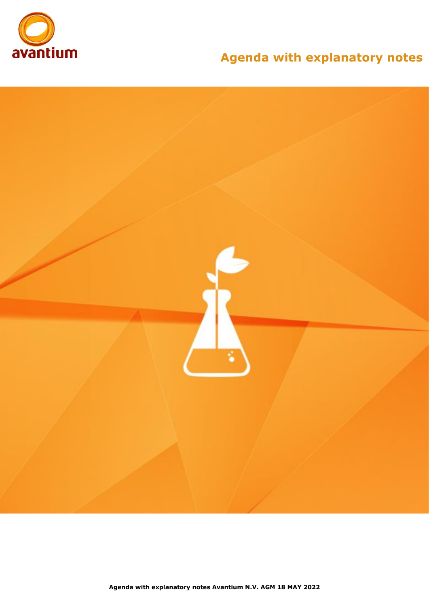

# **Agenda with explanatory notes**

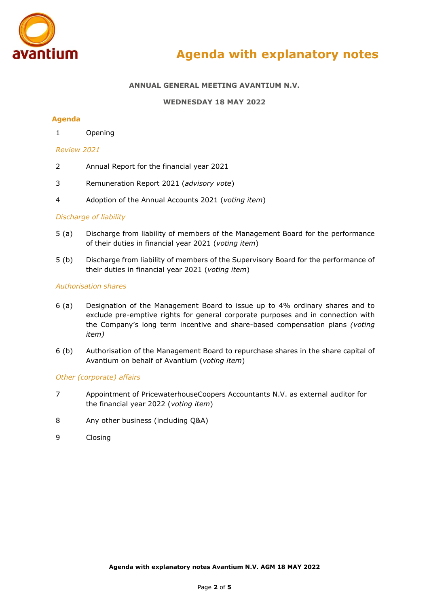

# **ANNUAL GENERAL MEETING AVANTIUM N.V.**

# **WEDNESDAY 18 MAY 2022**

# **Agenda**

1 Opening

#### *Review 2021*

- 2 Annual Report for the financial year 2021
- 3 Remuneration Report 2021 (*advisory vote*)
- 4 Adoption of the Annual Accounts 2021 (*voting item*)

# *Discharge of liability*

- 5 (a) Discharge from liability of members of the Management Board for the performance of their duties in financial year 2021 (*voting item*)
- 5 (b) Discharge from liability of members of the Supervisory Board for the performance of their duties in financial year 2021 (*voting item*)

#### *Authorisation shares*

- 6 (a) Designation of the Management Board to issue up to 4% ordinary shares and to exclude pre-emptive rights for general corporate purposes and in connection with the Company's long term incentive and share-based compensation plans *(voting item)*
- 6 (b) Authorisation of the Management Board to repurchase shares in the share capital of Avantium on behalf of Avantium (*voting item*)

# *Other (corporate) affairs*

- 7 Appointment of PricewaterhouseCoopers Accountants N.V. as external auditor for the financial year 2022 (*voting item*)
- 8 Any other business (including Q&A)
- 9 Closing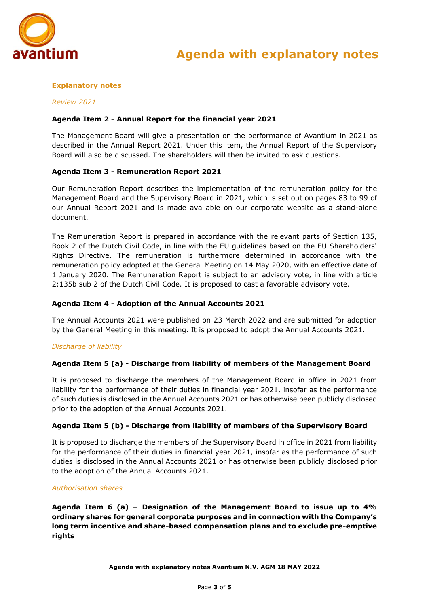

# **Explanatory notes**

# *Review 2021*

# **Agenda Item 2 - Annual Report for the financial year 2021**

The Management Board will give a presentation on the performance of Avantium in 2021 as described in the Annual Report 2021. Under this item, the Annual Report of the Supervisory Board will also be discussed. The shareholders will then be invited to ask questions.

# **Agenda Item 3 - Remuneration Report 2021**

Our Remuneration Report describes the implementation of the remuneration policy for the Management Board and the Supervisory Board in 2021, which is set out on pages 83 to 99 of our Annual Report 2021 and is made available on our corporate website as a stand-alone document.

The Remuneration Report is prepared in accordance with the relevant parts of Section 135, Book 2 of the Dutch Civil Code, in line with the EU guidelines based on the EU Shareholders' Rights Directive. The remuneration is furthermore determined in accordance with the remuneration policy adopted at the General Meeting on 14 May 2020, with an effective date of 1 January 2020. The Remuneration Report is subject to an advisory vote, in line with article 2:135b sub 2 of the Dutch Civil Code. It is proposed to cast a favorable advisory vote.

### **Agenda Item 4 - Adoption of the Annual Accounts 2021**

The Annual Accounts 2021 were published on 23 March 2022 and are submitted for adoption by the General Meeting in this meeting. It is proposed to adopt the Annual Accounts 2021.

# *Discharge of liability*

# **Agenda Item 5 (a) - Discharge from liability of members of the Management Board**

It is proposed to discharge the members of the Management Board in office in 2021 from liability for the performance of their duties in financial year 2021, insofar as the performance of such duties is disclosed in the Annual Accounts 2021 or has otherwise been publicly disclosed prior to the adoption of the Annual Accounts 2021.

# **Agenda Item 5 (b) - Discharge from liability of members of the Supervisory Board**

It is proposed to discharge the members of the Supervisory Board in office in 2021 from liability for the performance of their duties in financial year 2021, insofar as the performance of such duties is disclosed in the Annual Accounts 2021 or has otherwise been publicly disclosed prior to the adoption of the Annual Accounts 2021.

#### *Authorisation shares*

**Agenda Item 6 (a) – Designation of the Management Board to issue up to 4% ordinary shares for general corporate purposes and in connection with the Company's long term incentive and share-based compensation plans and to exclude pre-emptive rights**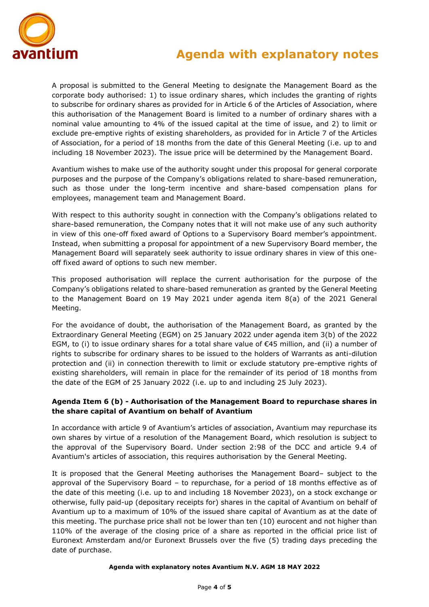

# **Agenda with explanatory notes**

A proposal is submitted to the General Meeting to designate the Management Board as the corporate body authorised: 1) to issue ordinary shares, which includes the granting of rights to subscribe for ordinary shares as provided for in Article 6 of the Articles of Association, where this authorisation of the Management Board is limited to a number of ordinary shares with a nominal value amounting to 4% of the issued capital at the time of issue, and 2) to limit or exclude pre-emptive rights of existing shareholders, as provided for in Article 7 of the Articles of Association, for a period of 18 months from the date of this General Meeting (i.e. up to and including 18 November 2023). The issue price will be determined by the Management Board.

Avantium wishes to make use of the authority sought under this proposal for general corporate purposes and the purpose of the Company's obligations related to share-based remuneration, such as those under the long-term incentive and share-based compensation plans for employees, management team and Management Board.

With respect to this authority sought in connection with the Company's obligations related to share-based remuneration, the Company notes that it will not make use of any such authority in view of this one-off fixed award of Options to a Supervisory Board member's appointment. Instead, when submitting a proposal for appointment of a new Supervisory Board member, the Management Board will separately seek authority to issue ordinary shares in view of this oneoff fixed award of options to such new member.

This proposed authorisation will replace the current authorisation for the purpose of the Company's obligations related to share-based remuneration as granted by the General Meeting to the Management Board on 19 May 2021 under agenda item 8(a) of the 2021 General Meeting.

For the avoidance of doubt, the authorisation of the Management Board, as granted by the Extraordinary General Meeting (EGM) on 25 January 2022 under agenda item 3(b) of the 2022 EGM, to (i) to issue ordinary shares for a total share value of €45 million, and (ii) a number of rights to subscribe for ordinary shares to be issued to the holders of Warrants as anti-dilution protection and (ii) in connection therewith to limit or exclude statutory pre-emptive rights of existing shareholders, will remain in place for the remainder of its period of 18 months from the date of the EGM of 25 January 2022 (i.e. up to and including 25 July 2023).

# **Agenda Item 6 (b) - Authorisation of the Management Board to repurchase shares in the share capital of Avantium on behalf of Avantium**

In accordance with article 9 of Avantium's articles of association, Avantium may repurchase its own shares by virtue of a resolution of the Management Board, which resolution is subject to the approval of the Supervisory Board. Under section 2:98 of the DCC and article 9.4 of Avantium's articles of association, this requires authorisation by the General Meeting.

It is proposed that the General Meeting authorises the Management Board– subject to the approval of the Supervisory Board – to repurchase, for a period of 18 months effective as of the date of this meeting (i.e. up to and including 18 November 2023), on a stock exchange or otherwise, fully paid-up (depositary receipts for) shares in the capital of Avantium on behalf of Avantium up to a maximum of 10% of the issued share capital of Avantium as at the date of this meeting. The purchase price shall not be lower than ten (10) eurocent and not higher than 110% of the average of the closing price of a share as reported in the official price list of Euronext Amsterdam and/or Euronext Brussels over the five (5) trading days preceding the date of purchase.

#### **Agenda with explanatory notes Avantium N.V. AGM 18 MAY 2022**